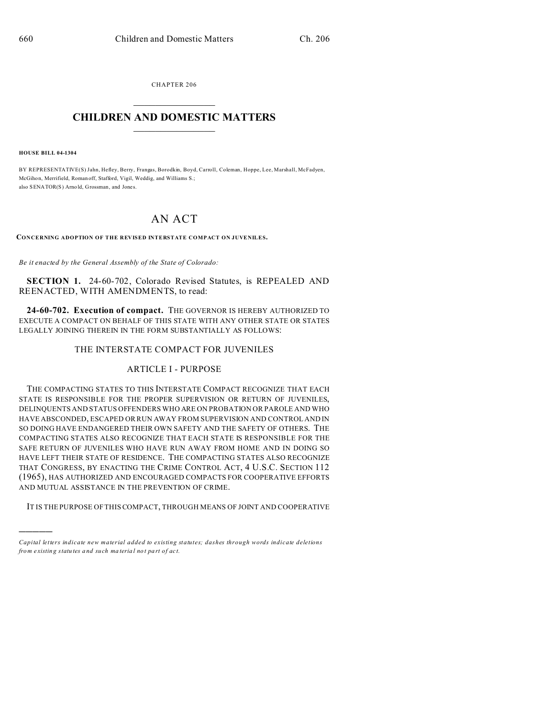CHAPTER 206  $\overline{\phantom{a}}$  , where  $\overline{\phantom{a}}$ 

### **CHILDREN AND DOMESTIC MATTERS**  $\_$   $\_$

**HOUSE BILL 04-1304**

)))))

BY REPRESENTATIVE(S) Jahn, Hefley, Berry, Frangas, Borodkin, Boyd, Carroll, Coleman, Hoppe, Lee, Marshall, McFadyen, McGihon, Merrifield, Roman off, Stafford, Vigil, Weddig, and Williams S.; also SENATOR(S) Arno ld, Grossman, and Jones.

# AN ACT

**CONCERNING ADOPTION OF THE REVISED INTERSTATE COMPACT ON JUVENILES.**

*Be it enacted by the General Assembly of the State of Colorado:*

**SECTION 1.** 24-60-702, Colorado Revised Statutes, is REPEALED AND REENACTED, WITH AMENDMENTS, to read:

**24-60-702. Execution of compact.** THE GOVERNOR IS HEREBY AUTHORIZED TO EXECUTE A COMPACT ON BEHALF OF THIS STATE WITH ANY OTHER STATE OR STATES LEGALLY JOINING THEREIN IN THE FORM SUBSTANTIALLY AS FOLLOWS:

### THE INTERSTATE COMPACT FOR JUVENILES

#### ARTICLE I - PURPOSE

THE COMPACTING STATES TO THIS INTERSTATE COMPACT RECOGNIZE THAT EACH STATE IS RESPONSIBLE FOR THE PROPER SUPERVISION OR RETURN OF JUVENILES, DELINQUENTS AND STATUS OFFENDERS WHO ARE ON PROBATION OR PAROLE AND WHO HAVE ABSCONDED, ESCAPED OR RUN AWAY FROM SUPERVISION AND CONTROL AND IN SO DOING HAVE ENDANGERED THEIR OWN SAFETY AND THE SAFETY OF OTHERS. THE COMPACTING STATES ALSO RECOGNIZE THAT EACH STATE IS RESPONSIBLE FOR THE SAFE RETURN OF JUVENILES WHO HAVE RUN AWAY FROM HOME AND IN DOING SO HAVE LEFT THEIR STATE OF RESIDENCE. THE COMPACTING STATES ALSO RECOGNIZE THAT CONGRESS, BY ENACTING THE CRIME CONTROL ACT, 4 U.S.C. SECTION 112 (1965), HAS AUTHORIZED AND ENCOURAGED COMPACTS FOR COOPERATIVE EFFORTS AND MUTUAL ASSISTANCE IN THE PREVENTION OF CRIME.

IT IS THE PURPOSE OF THIS COMPACT, THROUGH MEANS OF JOINT AND COOPERATIVE

*Capital letters indicate new material added to existing statutes; dashes through words indicate deletions from e xistin g statu tes a nd such ma teria l no t pa rt of ac t.*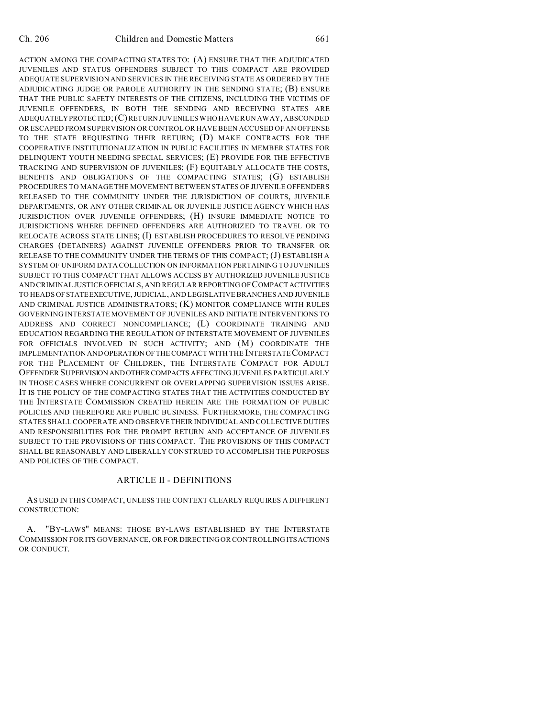ACTION AMONG THE COMPACTING STATES TO: (A) ENSURE THAT THE ADJUDICATED JUVENILES AND STATUS OFFENDERS SUBJECT TO THIS COMPACT ARE PROVIDED ADEQUATE SUPERVISION AND SERVICES IN THE RECEIVING STATE AS ORDERED BY THE ADJUDICATING JUDGE OR PAROLE AUTHORITY IN THE SENDING STATE; (B) ENSURE THAT THE PUBLIC SAFETY INTERESTS OF THE CITIZENS, INCLUDING THE VICTIMS OF JUVENILE OFFENDERS, IN BOTH THE SENDING AND RECEIVING STATES ARE ADEQUATELYPROTECTED;(C) RETURN JUVENILES WHO HAVE RUN AWAY, ABSCONDED OR ESCAPED FROM SUPERVISION OR CONTROL OR HAVE BEEN ACCUSED OF AN OFFENSE TO THE STATE REQUESTING THEIR RETURN; (D) MAKE CONTRACTS FOR THE COOPERATIVE INSTITUTIONALIZATION IN PUBLIC FACILITIES IN MEMBER STATES FOR DELINQUENT YOUTH NEEDING SPECIAL SERVICES; (E) PROVIDE FOR THE EFFECTIVE TRACKING AND SUPERVISION OF JUVENILES; (F) EQUITABLY ALLOCATE THE COSTS, BENEFITS AND OBLIGATIONS OF THE COMPACTING STATES; (G) ESTABLISH PROCEDURES TO MANAGE THE MOVEMENT BETWEEN STATES OF JUVENILE OFFENDERS RELEASED TO THE COMMUNITY UNDER THE JURISDICTION OF COURTS, JUVENILE DEPARTMENTS, OR ANY OTHER CRIMINAL OR JUVENILE JUSTICE AGENCY WHICH HAS JURISDICTION OVER JUVENILE OFFENDERS; (H) INSURE IMMEDIATE NOTICE TO JURISDICTIONS WHERE DEFINED OFFENDERS ARE AUTHORIZED TO TRAVEL OR TO RELOCATE ACROSS STATE LINES; (I) ESTABLISH PROCEDURES TO RESOLVE PENDING CHARGES (DETAINERS) AGAINST JUVENILE OFFENDERS PRIOR TO TRANSFER OR RELEASE TO THE COMMUNITY UNDER THE TERMS OF THIS COMPACT; (J) ESTABLISH A SYSTEM OF UNIFORM DATA COLLECTION ON INFORMATION PERTAINING TO JUVENILES SUBJECT TO THIS COMPACT THAT ALLOWS ACCESS BY AUTHORIZED JUVENILE JUSTICE AND CRIMINAL JUSTICE OFFICIALS, AND REGULAR REPORTING OF COMPACTACTIVITIES TO HEADS OFSTATEEXECUTIVE, JUDICIAL, AND LEGISLATIVE BRANCHES AND JUVENILE AND CRIMINAL JUSTICE ADMINISTRATORS; (K) MONITOR COMPLIANCE WITH RULES GOVERNING INTERSTATE MOVEMENT OF JUVENILES AND INITIATE INTERVENTIONS TO ADDRESS AND CORRECT NONCOMPLIANCE; (L) COORDINATE TRAINING AND EDUCATION REGARDING THE REGULATION OF INTERSTATE MOVEMENT OF JUVENILES FOR OFFICIALS INVOLVED IN SUCH ACTIVITY; AND (M) COORDINATE THE IMPLEMENTATION AND OPERATION OFTHE COMPACT WITH THE INTERSTATE COMPACT FOR THE PLACEMENT OF CHILDREN, THE INTERSTATE COMPACT FOR ADULT OFFENDER SUPERVISION ANDOTHERCOMPACTS AFFECTING JUVENILES PARTICULARLY IN THOSE CASES WHERE CONCURRENT OR OVERLAPPING SUPERVISION ISSUES ARISE. IT IS THE POLICY OF THE COMPACTING STATES THAT THE ACTIVITIES CONDUCTED BY THE INTERSTATE COMMISSION CREATED HEREIN ARE THE FORMATION OF PUBLIC POLICIES AND THEREFORE ARE PUBLIC BUSINESS. FURTHERMORE, THE COMPACTING STATES SHALL COOPERATE AND OBSERVE THEIR INDIVIDUAL AND COLLECTIVE DUTIES AND RESPONSIBILITIES FOR THE PROMPT RETURN AND ACCEPTANCE OF JUVENILES SUBJECT TO THE PROVISIONS OF THIS COMPACT. THE PROVISIONS OF THIS COMPACT SHALL BE REASONABLY AND LIBERALLY CONSTRUED TO ACCOMPLISH THE PURPOSES AND POLICIES OF THE COMPACT.

#### ARTICLE II - DEFINITIONS

AS USED IN THIS COMPACT, UNLESS THE CONTEXT CLEARLY REQUIRES A DIFFERENT CONSTRUCTION:

A. "BY-LAWS" MEANS: THOSE BY-LAWS ESTABLISHED BY THE INTERSTATE COMMISSION FOR ITS GOVERNANCE, OR FOR DIRECTING OR CONTROLLING ITSACTIONS OR CONDUCT.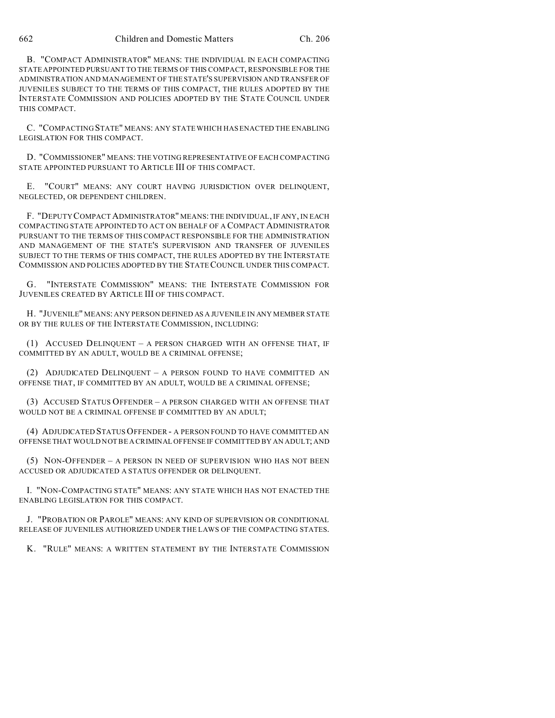B. "COMPACT ADMINISTRATOR" MEANS: THE INDIVIDUAL IN EACH COMPACTING STATE APPOINTED PURSUANT TO THE TERMS OF THIS COMPACT, RESPONSIBLE FOR THE ADMINISTRATION AND MANAGEMENT OF THE STATE'S SUPERVISION AND TRANSFER OF JUVENILES SUBJECT TO THE TERMS OF THIS COMPACT, THE RULES ADOPTED BY THE INTERSTATE COMMISSION AND POLICIES ADOPTED BY THE STATE COUNCIL UNDER THIS COMPACT.

C. "COMPACTING STATE" MEANS: ANY STATE WHICH HAS ENACTED THE ENABLING LEGISLATION FOR THIS COMPACT.

D. "COMMISSIONER" MEANS: THE VOTING REPRESENTATIVE OF EACH COMPACTING STATE APPOINTED PURSUANT TO ARTICLE III OF THIS COMPACT.

E. "COURT" MEANS: ANY COURT HAVING JURISDICTION OVER DELINQUENT, NEGLECTED, OR DEPENDENT CHILDREN.

F. "DEPUTY COMPACT ADMINISTRATOR" MEANS: THE INDIVIDUAL, IF ANY, IN EACH COMPACTING STATE APPOINTED TO ACT ON BEHALF OF A COMPACT ADMINISTRATOR PURSUANT TO THE TERMS OF THIS COMPACT RESPONSIBLE FOR THE ADMINISTRATION AND MANAGEMENT OF THE STATE'S SUPERVISION AND TRANSFER OF JUVENILES SUBJECT TO THE TERMS OF THIS COMPACT, THE RULES ADOPTED BY THE INTERSTATE COMMISSION AND POLICIES ADOPTED BY THE STATE COUNCIL UNDER THIS COMPACT.

G. "INTERSTATE COMMISSION" MEANS: THE INTERSTATE COMMISSION FOR JUVENILES CREATED BY ARTICLE III OF THIS COMPACT.

H. "JUVENILE" MEANS: ANY PERSON DEFINED AS A JUVENILE IN ANY MEMBER STATE OR BY THE RULES OF THE INTERSTATE COMMISSION, INCLUDING:

(1) ACCUSED DELINQUENT – A PERSON CHARGED WITH AN OFFENSE THAT, IF COMMITTED BY AN ADULT, WOULD BE A CRIMINAL OFFENSE;

(2) ADJUDICATED DELINQUENT – A PERSON FOUND TO HAVE COMMITTED AN OFFENSE THAT, IF COMMITTED BY AN ADULT, WOULD BE A CRIMINAL OFFENSE;

(3) ACCUSED STATUS OFFENDER – A PERSON CHARGED WITH AN OFFENSE THAT WOULD NOT BE A CRIMINAL OFFENSE IF COMMITTED BY AN ADULT;

(4) ADJUDICATED STATUS OFFENDER - A PERSON FOUND TO HAVE COMMITTED AN OFFENSE THAT WOULD NOT BE A CRIMINAL OFFENSE IF COMMITTED BY AN ADULT; AND

(5) NON-OFFENDER – A PERSON IN NEED OF SUPERVISION WHO HAS NOT BEEN ACCUSED OR ADJUDICATED A STATUS OFFENDER OR DELINQUENT.

I. "NON-COMPACTING STATE" MEANS: ANY STATE WHICH HAS NOT ENACTED THE ENABLING LEGISLATION FOR THIS COMPACT.

J. "PROBATION OR PAROLE" MEANS: ANY KIND OF SUPERVISION OR CONDITIONAL RELEASE OF JUVENILES AUTHORIZED UNDER THE LAWS OF THE COMPACTING STATES.

K. "RULE" MEANS: A WRITTEN STATEMENT BY THE INTERSTATE COMMISSION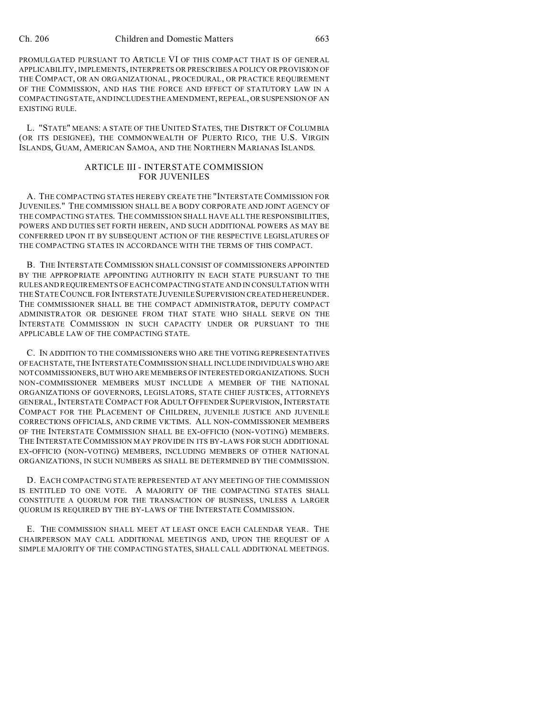PROMULGATED PURSUANT TO ARTICLE VI OF THIS COMPACT THAT IS OF GENERAL APPLICABILITY, IMPLEMENTS, INTERPRETS OR PRESCRIBES A POLICY OR PROVISION OF THE COMPACT, OR AN ORGANIZATIONAL, PROCEDURAL, OR PRACTICE REQUIREMENT OF THE COMMISSION, AND HAS THE FORCE AND EFFECT OF STATUTORY LAW IN A COMPACTING STATE, AND INCLUDES THE AMENDMENT, REPEAL, OR SUSPENSION OF AN EXISTING RULE.

L. "STATE" MEANS: A STATE OF THE UNITED STATES, THE DISTRICT OF COLUMBIA (OR ITS DESIGNEE), THE COMMONWEALTH OF PUERTO RICO, THE U.S. VIRGIN ISLANDS, GUAM, AMERICAN SAMOA, AND THE NORTHERN MARIANAS ISLANDS.

#### ARTICLE III - INTERSTATE COMMISSION FOR **IUVENILES**

A. THE COMPACTING STATES HEREBY CREATE THE "INTERSTATE COMMISSION FOR JUVENILES." THE COMMISSION SHALL BE A BODY CORPORATE AND JOINT AGENCY OF THE COMPACTING STATES. THE COMMISSION SHALL HAVE ALL THE RESPONSIBILITIES, POWERS AND DUTIES SET FORTH HEREIN, AND SUCH ADDITIONAL POWERS AS MAY BE CONFERRED UPON IT BY SUBSEQUENT ACTION OF THE RESPECTIVE LEGISLATURES OF THE COMPACTING STATES IN ACCORDANCE WITH THE TERMS OF THIS COMPACT.

B. THE INTERSTATE COMMISSION SHALL CONSIST OF COMMISSIONERS APPOINTED BY THE APPROPRIATE APPOINTING AUTHORITY IN EACH STATE PURSUANT TO THE RULES AND REQUIREMENTS OF EACH COMPACTING STATE AND IN CONSULTATION WITH THE STATECOUNCIL FOR INTERSTATE JUVENILESUPERVISION CREATED HEREUNDER. THE COMMISSIONER SHALL BE THE COMPACT ADMINISTRATOR, DEPUTY COMPACT ADMINISTRATOR OR DESIGNEE FROM THAT STATE WHO SHALL SERVE ON THE INTERSTATE COMMISSION IN SUCH CAPACITY UNDER OR PURSUANT TO THE APPLICABLE LAW OF THE COMPACTING STATE.

C. IN ADDITION TO THE COMMISSIONERS WHO ARE THE VOTING REPRESENTATIVES OFEACH STATE, THE INTERSTATE COMMISSION SHALL INCLUDE INDIVIDUALS WHO ARE NOTCOMMISSIONERS, BUT WHO ARE MEMBERS OF INTERESTED ORGANIZATIONS. SUCH NON-COMMISSIONER MEMBERS MUST INCLUDE A MEMBER OF THE NATIONAL ORGANIZATIONS OF GOVERNORS, LEGISLATORS, STATE CHIEF JUSTICES, ATTORNEYS GENERAL, INTERSTATE COMPACT FOR ADULT OFFENDER SUPERVISION, INTERSTATE COMPACT FOR THE PLACEMENT OF CHILDREN, JUVENILE JUSTICE AND JUVENILE CORRECTIONS OFFICIALS, AND CRIME VICTIMS. ALL NON-COMMISSIONER MEMBERS OF THE INTERSTATE COMMISSION SHALL BE EX-OFFICIO (NON-VOTING) MEMBERS. THE INTERSTATE COMMISSION MAY PROVIDE IN ITS BY-LAWS FOR SUCH ADDITIONAL EX-OFFICIO (NON-VOTING) MEMBERS, INCLUDING MEMBERS OF OTHER NATIONAL ORGANIZATIONS, IN SUCH NUMBERS AS SHALL BE DETERMINED BY THE COMMISSION.

D. EACH COMPACTING STATE REPRESENTED AT ANY MEETING OF THE COMMISSION IS ENTITLED TO ONE VOTE. A MAJORITY OF THE COMPACTING STATES SHALL CONSTITUTE A QUORUM FOR THE TRANSACTION OF BUSINESS, UNLESS A LARGER QUORUM IS REQUIRED BY THE BY-LAWS OF THE INTERSTATE COMMISSION.

E. THE COMMISSION SHALL MEET AT LEAST ONCE EACH CALENDAR YEAR. THE CHAIRPERSON MAY CALL ADDITIONAL MEETINGS AND, UPON THE REQUEST OF A SIMPLE MAJORITY OF THE COMPACTING STATES, SHALL CALL ADDITIONAL MEETINGS.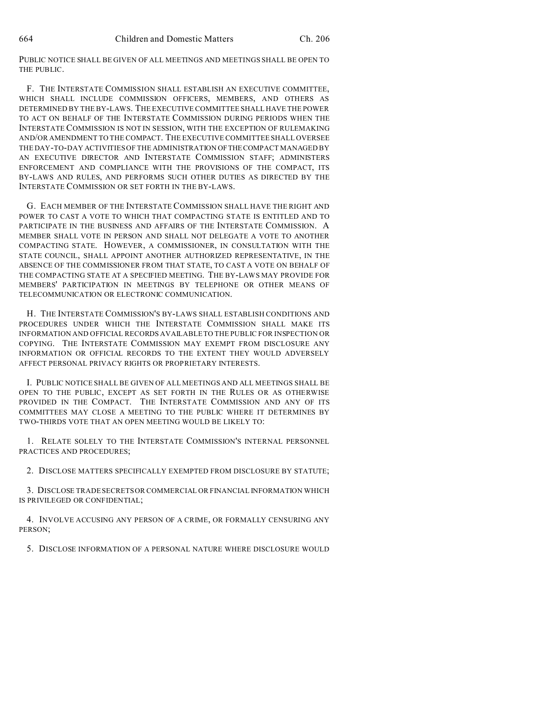PUBLIC NOTICE SHALL BE GIVEN OF ALL MEETINGS AND MEETINGS SHALL BE OPEN TO THE PUBLIC.

F. THE INTERSTATE COMMISSION SHALL ESTABLISH AN EXECUTIVE COMMITTEE, WHICH SHALL INCLUDE COMMISSION OFFICERS, MEMBERS, AND OTHERS AS DETERMINED BY THE BY-LAWS. THE EXECUTIVE COMMITTEE SHALL HAVE THE POWER TO ACT ON BEHALF OF THE INTERSTATE COMMISSION DURING PERIODS WHEN THE INTERSTATE COMMISSION IS NOT IN SESSION, WITH THE EXCEPTION OF RULEMAKING AND/OR AMENDMENT TO THE COMPACT. THE EXECUTIVE COMMITTEE SHALL OVERSEE THE DAY-TO-DAY ACTIVITIES OF THE ADMINISTRATION OFTHECOMPACT MANAGED BY AN EXECUTIVE DIRECTOR AND INTERSTATE COMMISSION STAFF; ADMINISTERS ENFORCEMENT AND COMPLIANCE WITH THE PROVISIONS OF THE COMPACT, ITS BY-LAWS AND RULES, AND PERFORMS SUCH OTHER DUTIES AS DIRECTED BY THE INTERSTATE COMMISSION OR SET FORTH IN THE BY-LAWS.

G. EACH MEMBER OF THE INTERSTATE COMMISSION SHALL HAVE THE RIGHT AND POWER TO CAST A VOTE TO WHICH THAT COMPACTING STATE IS ENTITLED AND TO PARTICIPATE IN THE BUSINESS AND AFFAIRS OF THE INTERSTATE COMMISSION. A MEMBER SHALL VOTE IN PERSON AND SHALL NOT DELEGATE A VOTE TO ANOTHER COMPACTING STATE. HOWEVER, A COMMISSIONER, IN CONSULTATION WITH THE STATE COUNCIL, SHALL APPOINT ANOTHER AUTHORIZED REPRESENTATIVE, IN THE ABSENCE OF THE COMMISSIONER FROM THAT STATE, TO CAST A VOTE ON BEHALF OF THE COMPACTING STATE AT A SPECIFIED MEETING. THE BY-LAWS MAY PROVIDE FOR MEMBERS' PARTICIPATION IN MEETINGS BY TELEPHONE OR OTHER MEANS OF TELECOMMUNICATION OR ELECTRONIC COMMUNICATION.

H. THE INTERSTATE COMMISSION'S BY-LAWS SHALL ESTABLISH CONDITIONS AND PROCEDURES UNDER WHICH THE INTERSTATE COMMISSION SHALL MAKE ITS INFORMATION AND OFFICIAL RECORDS AVAILABLE TO THE PUBLIC FOR INSPECTION OR COPYING. THE INTERSTATE COMMISSION MAY EXEMPT FROM DISCLOSURE ANY INFORMATION OR OFFICIAL RECORDS TO THE EXTENT THEY WOULD ADVERSELY AFFECT PERSONAL PRIVACY RIGHTS OR PROPRIETARY INTERESTS.

I. PUBLIC NOTICE SHALL BE GIVEN OF ALL MEETINGS AND ALL MEETINGS SHALL BE OPEN TO THE PUBLIC, EXCEPT AS SET FORTH IN THE RULES OR AS OTHERWISE PROVIDED IN THE COMPACT. THE INTERSTATE COMMISSION AND ANY OF ITS COMMITTEES MAY CLOSE A MEETING TO THE PUBLIC WHERE IT DETERMINES BY TWO-THIRDS VOTE THAT AN OPEN MEETING WOULD BE LIKELY TO:

1. RELATE SOLELY TO THE INTERSTATE COMMISSION'S INTERNAL PERSONNEL PRACTICES AND PROCEDURES;

2. DISCLOSE MATTERS SPECIFICALLY EXEMPTED FROM DISCLOSURE BY STATUTE;

3. DISCLOSE TRADE SECRETS OR COMMERCIAL OR FINANCIAL INFORMATION WHICH IS PRIVILEGED OR CONFIDENTIAL;

4. INVOLVE ACCUSING ANY PERSON OF A CRIME, OR FORMALLY CENSURING ANY PERSON;

5. DISCLOSE INFORMATION OF A PERSONAL NATURE WHERE DISCLOSURE WOULD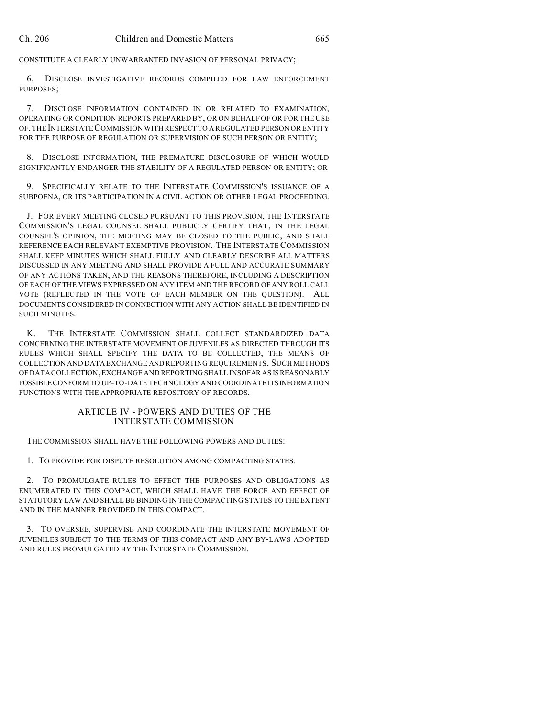CONSTITUTE A CLEARLY UNWARRANTED INVASION OF PERSONAL PRIVACY;

6. DISCLOSE INVESTIGATIVE RECORDS COMPILED FOR LAW ENFORCEMENT PURPOSES;

7. DISCLOSE INFORMATION CONTAINED IN OR RELATED TO EXAMINATION, OPERATING OR CONDITION REPORTS PREPARED BY, OR ON BEHALF OF OR FOR THE USE OF, THE INTERSTATE COMMISSION WITH RESPECT TO A REGULATED PERSON OR ENTITY FOR THE PURPOSE OF REGULATION OR SUPERVISION OF SUCH PERSON OR ENTITY;

8. DISCLOSE INFORMATION, THE PREMATURE DISCLOSURE OF WHICH WOULD SIGNIFICANTLY ENDANGER THE STABILITY OF A REGULATED PERSON OR ENTITY; OR

9. SPECIFICALLY RELATE TO THE INTERSTATE COMMISSION'S ISSUANCE OF A SUBPOENA, OR ITS PARTICIPATION IN A CIVIL ACTION OR OTHER LEGAL PROCEEDING.

J. FOR EVERY MEETING CLOSED PURSUANT TO THIS PROVISION, THE INTERSTATE COMMISSION'S LEGAL COUNSEL SHALL PUBLICLY CERTIFY THAT, IN THE LEGAL COUNSEL'S OPINION, THE MEETING MAY BE CLOSED TO THE PUBLIC, AND SHALL REFERENCE EACH RELEVANT EXEMPTIVE PROVISION. THE INTERSTATE COMMISSION SHALL KEEP MINUTES WHICH SHALL FULLY AND CLEARLY DESCRIBE ALL MATTERS DISCUSSED IN ANY MEETING AND SHALL PROVIDE A FULL AND ACCURATE SUMMARY OF ANY ACTIONS TAKEN, AND THE REASONS THEREFORE, INCLUDING A DESCRIPTION OF EACH OF THE VIEWS EXPRESSED ON ANY ITEM AND THE RECORD OF ANY ROLL CALL VOTE (REFLECTED IN THE VOTE OF EACH MEMBER ON THE QUESTION). ALL DOCUMENTS CONSIDERED IN CONNECTION WITH ANY ACTION SHALL BE IDENTIFIED IN SUCH MINUTES.

K. THE INTERSTATE COMMISSION SHALL COLLECT STANDARDIZED DATA CONCERNING THE INTERSTATE MOVEMENT OF JUVENILES AS DIRECTED THROUGH ITS RULES WHICH SHALL SPECIFY THE DATA TO BE COLLECTED, THE MEANS OF COLLECTION AND DATA EXCHANGE AND REPORTING REQUIREMENTS. SUCH METHODS OF DATA COLLECTION, EXCHANGE AND REPORTING SHALL INSOFAR AS ISREASONABLY POSSIBLECONFORM TO UP-TO-DATE TECHNOLOGY AND COORDINATE ITSINFORMATION FUNCTIONS WITH THE APPROPRIATE REPOSITORY OF RECORDS.

### ARTICLE IV - POWERS AND DUTIES OF THE INTERSTATE COMMISSION

THE COMMISSION SHALL HAVE THE FOLLOWING POWERS AND DUTIES:

1. TO PROVIDE FOR DISPUTE RESOLUTION AMONG COMPACTING STATES.

2. TO PROMULGATE RULES TO EFFECT THE PURPOSES AND OBLIGATIONS AS ENUMERATED IN THIS COMPACT, WHICH SHALL HAVE THE FORCE AND EFFECT OF STATUTORY LAW AND SHALL BE BINDING IN THE COMPACTING STATES TO THE EXTENT AND IN THE MANNER PROVIDED IN THIS COMPACT.

3. TO OVERSEE, SUPERVISE AND COORDINATE THE INTERSTATE MOVEMENT OF JUVENILES SUBJECT TO THE TERMS OF THIS COMPACT AND ANY BY-LAWS ADOPTED AND RULES PROMULGATED BY THE INTERSTATE COMMISSION.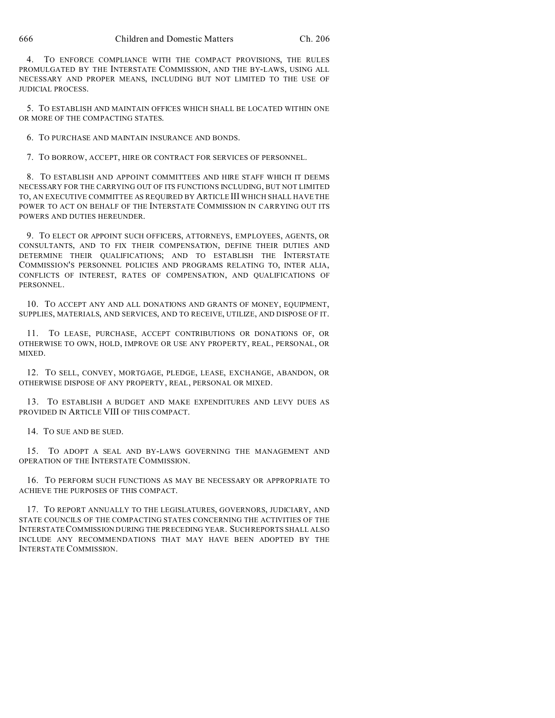4. TO ENFORCE COMPLIANCE WITH THE COMPACT PROVISIONS, THE RULES PROMULGATED BY THE INTERSTATE COMMISSION, AND THE BY-LAWS, USING ALL NECESSARY AND PROPER MEANS, INCLUDING BUT NOT LIMITED TO THE USE OF JUDICIAL PROCESS.

5. TO ESTABLISH AND MAINTAIN OFFICES WHICH SHALL BE LOCATED WITHIN ONE OR MORE OF THE COMPACTING STATES.

6. TO PURCHASE AND MAINTAIN INSURANCE AND BONDS.

7. TO BORROW, ACCEPT, HIRE OR CONTRACT FOR SERVICES OF PERSONNEL.

8. TO ESTABLISH AND APPOINT COMMITTEES AND HIRE STAFF WHICH IT DEEMS NECESSARY FOR THE CARRYING OUT OF ITS FUNCTIONS INCLUDING, BUT NOT LIMITED TO, AN EXECUTIVE COMMITTEE AS REQUIRED BY ARTICLE III WHICH SHALL HAVE THE POWER TO ACT ON BEHALF OF THE INTERSTATE COMMISSION IN CARRYING OUT ITS POWERS AND DUTIES HEREUNDER.

9. TO ELECT OR APPOINT SUCH OFFICERS, ATTORNEYS, EMPLOYEES, AGENTS, OR CONSULTANTS, AND TO FIX THEIR COMPENSATION, DEFINE THEIR DUTIES AND DETERMINE THEIR QUALIFICATIONS; AND TO ESTABLISH THE INTERSTATE COMMISSION'S PERSONNEL POLICIES AND PROGRAMS RELATING TO, INTER ALIA, CONFLICTS OF INTEREST, RATES OF COMPENSATION, AND QUALIFICATIONS OF PERSONNEL.

10. TO ACCEPT ANY AND ALL DONATIONS AND GRANTS OF MONEY, EQUIPMENT, SUPPLIES, MATERIALS, AND SERVICES, AND TO RECEIVE, UTILIZE, AND DISPOSE OF IT.

11. TO LEASE, PURCHASE, ACCEPT CONTRIBUTIONS OR DONATIONS OF, OR OTHERWISE TO OWN, HOLD, IMPROVE OR USE ANY PROPERTY, REAL, PERSONAL, OR MIXED.

12. TO SELL, CONVEY, MORTGAGE, PLEDGE, LEASE, EXCHANGE, ABANDON, OR OTHERWISE DISPOSE OF ANY PROPERTY, REAL, PERSONAL OR MIXED.

13. TO ESTABLISH A BUDGET AND MAKE EXPENDITURES AND LEVY DUES AS PROVIDED IN ARTICLE VIII OF THIS COMPACT.

14. TO SUE AND BE SUED.

15. TO ADOPT A SEAL AND BY-LAWS GOVERNING THE MANAGEMENT AND OPERATION OF THE INTERSTATE COMMISSION.

16. TO PERFORM SUCH FUNCTIONS AS MAY BE NECESSARY OR APPROPRIATE TO ACHIEVE THE PURPOSES OF THIS COMPACT.

17. TO REPORT ANNUALLY TO THE LEGISLATURES, GOVERNORS, JUDICIARY, AND STATE COUNCILS OF THE COMPACTING STATES CONCERNING THE ACTIVITIES OF THE INTERSTATECOMMISSION DURING THE PRECEDING YEAR. SUCH REPORTS SHALL ALSO INCLUDE ANY RECOMMENDATIONS THAT MAY HAVE BEEN ADOPTED BY THE INTERSTATE COMMISSION.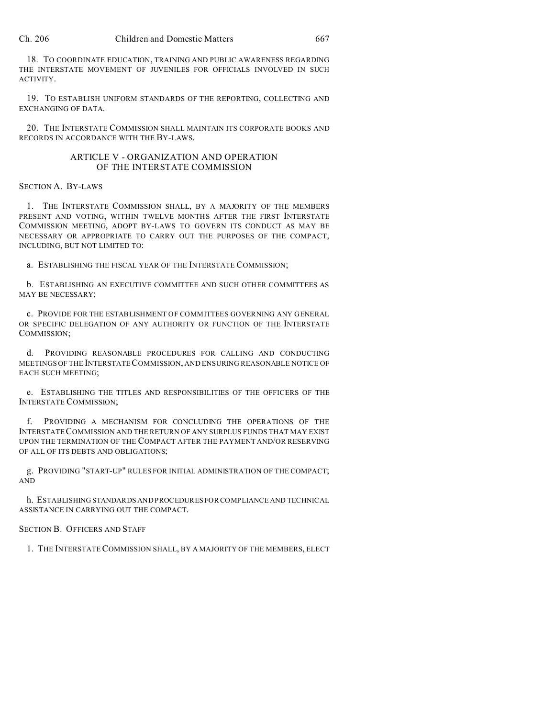18. TO COORDINATE EDUCATION, TRAINING AND PUBLIC AWARENESS REGARDING THE INTERSTATE MOVEMENT OF JUVENILES FOR OFFICIALS INVOLVED IN SUCH ACTIVITY.

19. TO ESTABLISH UNIFORM STANDARDS OF THE REPORTING, COLLECTING AND EXCHANGING OF DATA.

20. THE INTERSTATE COMMISSION SHALL MAINTAIN ITS CORPORATE BOOKS AND RECORDS IN ACCORDANCE WITH THE BY-LAWS.

#### ARTICLE V - ORGANIZATION AND OPERATION OF THE INTERSTATE COMMISSION

#### SECTION A. BY-LAWS

1. THE INTERSTATE COMMISSION SHALL, BY A MAJORITY OF THE MEMBERS PRESENT AND VOTING, WITHIN TWELVE MONTHS AFTER THE FIRST INTERSTATE COMMISSION MEETING, ADOPT BY-LAWS TO GOVERN ITS CONDUCT AS MAY BE NECESSARY OR APPROPRIATE TO CARRY OUT THE PURPOSES OF THE COMPACT, INCLUDING, BUT NOT LIMITED TO:

a. ESTABLISHING THE FISCAL YEAR OF THE INTERSTATE COMMISSION;

b. ESTABLISHING AN EXECUTIVE COMMITTEE AND SUCH OTHER COMMITTEES AS MAY BE NECESSARY;

c. PROVIDE FOR THE ESTABLISHMENT OF COMMITTEES GOVERNING ANY GENERAL OR SPECIFIC DELEGATION OF ANY AUTHORITY OR FUNCTION OF THE INTERSTATE COMMISSION;

d. PROVIDING REASONABLE PROCEDURES FOR CALLING AND CONDUCTING MEETINGS OF THE INTERSTATE COMMISSION, AND ENSURING REASONABLE NOTICE OF EACH SUCH MEETING;

e. ESTABLISHING THE TITLES AND RESPONSIBILITIES OF THE OFFICERS OF THE INTERSTATE COMMISSION;

f. PROVIDING A MECHANISM FOR CONCLUDING THE OPERATIONS OF THE INTERSTATECOMMISSION AND THE RETURN OF ANY SURPLUS FUNDS THAT MAY EXIST UPON THE TERMINATION OF THE COMPACT AFTER THE PAYMENT AND/OR RESERVING OF ALL OF ITS DEBTS AND OBLIGATIONS;

g. PROVIDING "START-UP" RULES FOR INITIAL ADMINISTRATION OF THE COMPACT; AND

h. ESTABLISHING STANDARDS AND PROCEDURES FOR COMPLIANCE AND TECHNICAL ASSISTANCE IN CARRYING OUT THE COMPACT.

SECTION B. OFFICERS AND STAFF

1. THE INTERSTATE COMMISSION SHALL, BY A MAJORITY OF THE MEMBERS, ELECT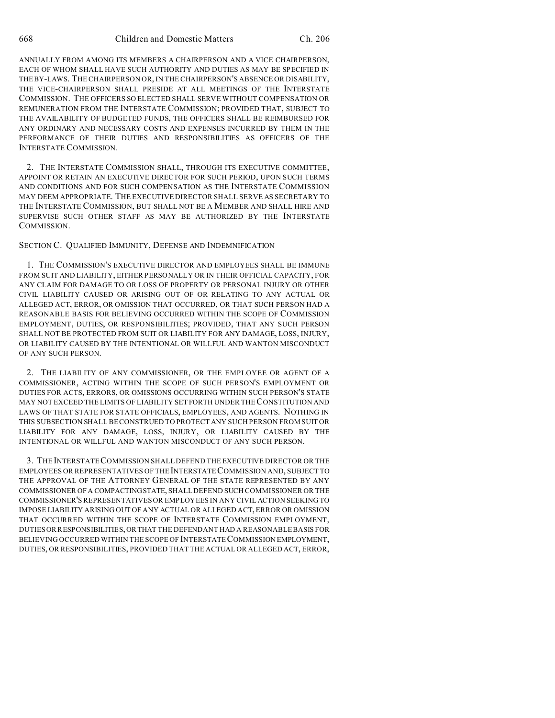ANNUALLY FROM AMONG ITS MEMBERS A CHAIRPERSON AND A VICE CHAIRPERSON, EACH OF WHOM SHALL HAVE SUCH AUTHORITY AND DUTIES AS MAY BE SPECIFIED IN THEBY-LAWS. THE CHAIRPERSON OR, IN THE CHAIRPERSON'S ABSENCE OR DISABILITY, THE VICE-CHAIRPERSON SHALL PRESIDE AT ALL MEETINGS OF THE INTERSTATE COMMISSION. THE OFFICERS SO ELECTED SHALL SERVE WITHOUT COMPENSATION OR REMUNERATION FROM THE INTERSTATE COMMISSION; PROVIDED THAT, SUBJECT TO THE AVAILABILITY OF BUDGETED FUNDS, THE OFFICERS SHALL BE REIMBURSED FOR ANY ORDINARY AND NECESSARY COSTS AND EXPENSES INCURRED BY THEM IN THE PERFORMANCE OF THEIR DUTIES AND RESPONSIBILITIES AS OFFICERS OF THE INTERSTATE COMMISSION.

2. THE INTERSTATE COMMISSION SHALL, THROUGH ITS EXECUTIVE COMMITTEE, APPOINT OR RETAIN AN EXECUTIVE DIRECTOR FOR SUCH PERIOD, UPON SUCH TERMS AND CONDITIONS AND FOR SUCH COMPENSATION AS THE INTERSTATE COMMISSION MAY DEEM APPROPRIATE. THE EXECUTIVE DIRECTOR SHALL SERVE AS SECRETARY TO THE INTERSTATE COMMISSION, BUT SHALL NOT BE A MEMBER AND SHALL HIRE AND SUPERVISE SUCH OTHER STAFF AS MAY BE AUTHORIZED BY THE INTERSTATE **COMMISSION** 

SECTION C. QUALIFIED IMMUNITY, DEFENSE AND INDEMNIFICATION

1. THE COMMISSION'S EXECUTIVE DIRECTOR AND EMPLOYEES SHALL BE IMMUNE FROM SUIT AND LIABILITY, EITHER PERSONALLY OR IN THEIR OFFICIAL CAPACITY, FOR ANY CLAIM FOR DAMAGE TO OR LOSS OF PROPERTY OR PERSONAL INJURY OR OTHER CIVIL LIABILITY CAUSED OR ARISING OUT OF OR RELATING TO ANY ACTUAL OR ALLEGED ACT, ERROR, OR OMISSION THAT OCCURRED, OR THAT SUCH PERSON HAD A REASONABLE BASIS FOR BELIEVING OCCURRED WITHIN THE SCOPE OF COMMISSION EMPLOYMENT, DUTIES, OR RESPONSIBILITIES; PROVIDED, THAT ANY SUCH PERSON SHALL NOT BE PROTECTED FROM SUIT OR LIABILITY FOR ANY DAMAGE, LOSS, INJURY, OR LIABILITY CAUSED BY THE INTENTIONAL OR WILLFUL AND WANTON MISCONDUCT OF ANY SUCH PERSON.

2. THE LIABILITY OF ANY COMMISSIONER, OR THE EMPLOYEE OR AGENT OF A COMMISSIONER, ACTING WITHIN THE SCOPE OF SUCH PERSON'S EMPLOYMENT OR DUTIES FOR ACTS, ERRORS, OR OMISSIONS OCCURRING WITHIN SUCH PERSON'S STATE MAY NOT EXCEED THE LIMITS OF LIABILITY SET FORTH UNDER THE CONSTITUTION AND LAWS OF THAT STATE FOR STATE OFFICIALS, EMPLOYEES, AND AGENTS. NOTHING IN THIS SUBSECTION SHALL BE CONSTRUED TO PROTECT ANY SUCH PERSON FROM SUIT OR LIABILITY FOR ANY DAMAGE, LOSS, INJURY, OR LIABILITY CAUSED BY THE INTENTIONAL OR WILLFUL AND WANTON MISCONDUCT OF ANY SUCH PERSON.

3. THE INTERSTATE COMMISSION SHALL DEFEND THE EXECUTIVE DIRECTOR OR THE EMPLOYEES OR REPRESENTATIVES OF THE INTERSTATE COMMISSION AND, SUBJECT TO THE APPROVAL OF THE ATTORNEY GENERAL OF THE STATE REPRESENTED BY ANY COMMISSIONER OF A COMPACTINGSTATE, SHALL DEFEND SUCH COMMISSIONER OR THE COMMISSIONER'S REPRESENTATIVES OR EMPLOYEES IN ANY CIVIL ACTION SEEKING TO IMPOSE LIABILITY ARISING OUT OF ANY ACTUAL OR ALLEGED ACT, ERROR OR OMISSION THAT OCCURRED WITHIN THE SCOPE OF INTERSTATE COMMISSION EMPLOYMENT, DUTIES OR RESPONSIBILITIES,ORTHAT THE DEFENDANT HAD A REASONABLE BASIS FOR BELIEVING OCCURRED WITHIN THE SCOPE OF INTERSTATE COMMISSION EMPLOYMENT, DUTIES, OR RESPONSIBILITIES, PROVIDED THAT THE ACTUAL OR ALLEGED ACT, ERROR,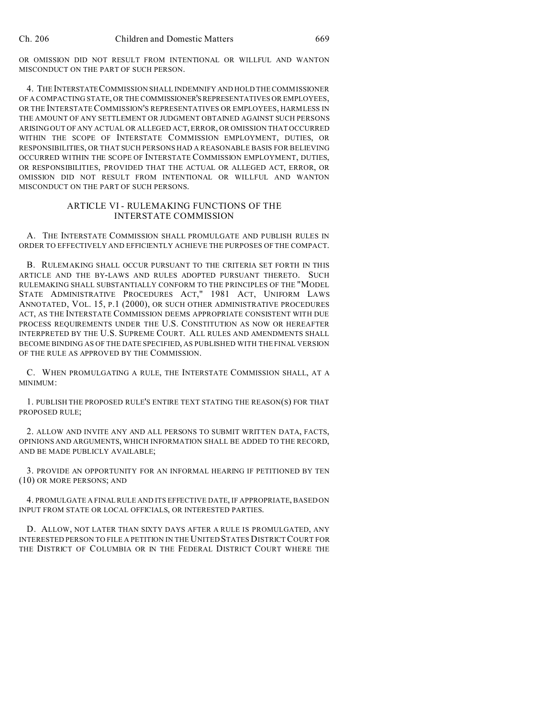OR OMISSION DID NOT RESULT FROM INTENTIONAL OR WILLFUL AND WANTON MISCONDUCT ON THE PART OF SUCH PERSON.

4. THE INTERSTATECOMMISSION SHALL INDEMNIFY AND HOLD THE COMMISSIONER OF A COMPACTING STATE, OR THE COMMISSIONER'SREPRESENTATIVES OR EMPLOYEES, OR THE INTERSTATE COMMISSION'S REPRESENTATIVES OR EMPLOYEES, HARMLESS IN THE AMOUNT OF ANY SETTLEMENT OR JUDGMENT OBTAINED AGAINST SUCH PERSONS ARISING OUT OF ANY ACTUAL OR ALLEGED ACT, ERROR, OR OMISSION THAT OCCURRED WITHIN THE SCOPE OF INTERSTATE COMMISSION EMPLOYMENT, DUTIES, OR RESPONSIBILITIES, OR THAT SUCH PERSONS HAD A REASONABLE BASIS FOR BELIEVING OCCURRED WITHIN THE SCOPE OF INTERSTATE COMMISSION EMPLOYMENT, DUTIES, OR RESPONSIBILITIES, PROVIDED THAT THE ACTUAL OR ALLEGED ACT, ERROR, OR OMISSION DID NOT RESULT FROM INTENTIONAL OR WILLFUL AND WANTON MISCONDUCT ON THE PART OF SUCH PERSONS.

#### ARTICLE VI - RULEMAKING FUNCTIONS OF THE INTERSTATE COMMISSION

A. THE INTERSTATE COMMISSION SHALL PROMULGATE AND PUBLISH RULES IN ORDER TO EFFECTIVELY AND EFFICIENTLY ACHIEVE THE PURPOSES OF THE COMPACT.

B. RULEMAKING SHALL OCCUR PURSUANT TO THE CRITERIA SET FORTH IN THIS ARTICLE AND THE BY-LAWS AND RULES ADOPTED PURSUANT THERETO. SUCH RULEMAKING SHALL SUBSTANTIALLY CONFORM TO THE PRINCIPLES OF THE "MODEL STATE ADMINISTRATIVE PROCEDURES ACT," 1981 ACT, UNIFORM LAWS ANNOTATED, VOL. 15, P.1 (2000), OR SUCH OTHER ADMINISTRATIVE PROCEDURES ACT, AS THE INTERSTATE COMMISSION DEEMS APPROPRIATE CONSISTENT WITH DUE PROCESS REQUIREMENTS UNDER THE U.S. CONSTITUTION AS NOW OR HEREAFTER INTERPRETED BY THE U.S. SUPREME COURT. ALL RULES AND AMENDMENTS SHALL BECOME BINDING AS OF THE DATE SPECIFIED, AS PUBLISHED WITH THE FINAL VERSION OF THE RULE AS APPROVED BY THE COMMISSION.

C. WHEN PROMULGATING A RULE, THE INTERSTATE COMMISSION SHALL, AT A MINIMUM:

1. PUBLISH THE PROPOSED RULE'S ENTIRE TEXT STATING THE REASON(S) FOR THAT PROPOSED RULE;

2. ALLOW AND INVITE ANY AND ALL PERSONS TO SUBMIT WRITTEN DATA, FACTS, OPINIONS AND ARGUMENTS, WHICH INFORMATION SHALL BE ADDED TO THE RECORD, AND BE MADE PUBLICLY AVAILABLE;

3. PROVIDE AN OPPORTUNITY FOR AN INFORMAL HEARING IF PETITIONED BY TEN (10) OR MORE PERSONS; AND

4. PROMULGATE A FINAL RULE AND ITS EFFECTIVE DATE, IF APPROPRIATE, BASED ON INPUT FROM STATE OR LOCAL OFFICIALS, OR INTERESTED PARTIES.

D. ALLOW, NOT LATER THAN SIXTY DAYS AFTER A RULE IS PROMULGATED, ANY INTERESTED PERSON TO FILE A PETITION IN THE UNITED STATES DISTRICTCOURT FOR THE DISTRICT OF COLUMBIA OR IN THE FEDERAL DISTRICT COURT WHERE THE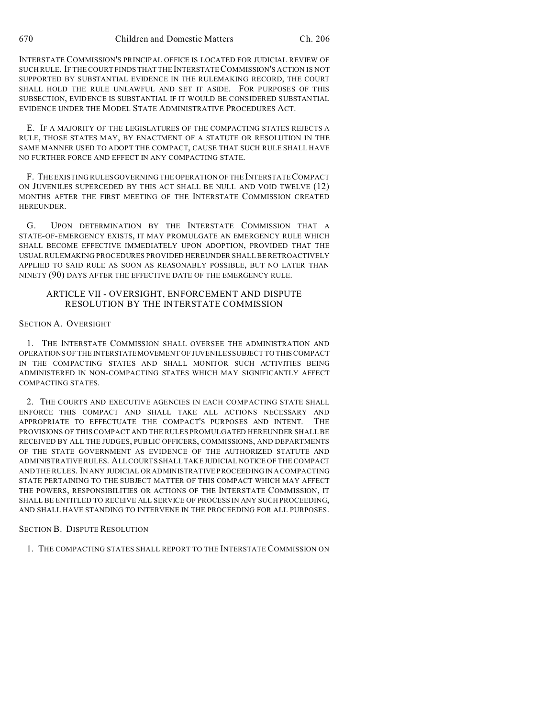INTERSTATE COMMISSION'S PRINCIPAL OFFICE IS LOCATED FOR JUDICIAL REVIEW OF SUCH RULE. IF THE COURT FINDS THAT THE INTERSTATECOMMISSION'S ACTION IS NOT SUPPORTED BY SUBSTANTIAL EVIDENCE IN THE RULEMAKING RECORD, THE COURT SHALL HOLD THE RULE UNLAWFUL AND SET IT ASIDE. FOR PURPOSES OF THIS SUBSECTION, EVIDENCE IS SUBSTANTIAL IF IT WOULD BE CONSIDERED SUBSTANTIAL EVIDENCE UNDER THE MODEL STATE ADMINISTRATIVE PROCEDURES ACT.

E. IF A MAJORITY OF THE LEGISLATURES OF THE COMPACTING STATES REJECTS A RULE, THOSE STATES MAY, BY ENACTMENT OF A STATUTE OR RESOLUTION IN THE SAME MANNER USED TO ADOPT THE COMPACT, CAUSE THAT SUCH RULE SHALL HAVE NO FURTHER FORCE AND EFFECT IN ANY COMPACTING STATE.

F. THE EXISTING RULES GOVERNING THE OPERATION OF THE INTERSTATE COMPACT ON JUVENILES SUPERCEDED BY THIS ACT SHALL BE NULL AND VOID TWELVE (12) MONTHS AFTER THE FIRST MEETING OF THE INTERSTATE COMMISSION CREATED HEREUNDER.

G. UPON DETERMINATION BY THE INTERSTATE COMMISSION THAT A STATE-OF-EMERGENCY EXISTS, IT MAY PROMULGATE AN EMERGENCY RULE WHICH SHALL BECOME EFFECTIVE IMMEDIATELY UPON ADOPTION, PROVIDED THAT THE USUAL RULEMAKING PROCEDURES PROVIDED HEREUNDER SHALL BE RETROACTIVELY APPLIED TO SAID RULE AS SOON AS REASONABLY POSSIBLE, BUT NO LATER THAN NINETY (90) DAYS AFTER THE EFFECTIVE DATE OF THE EMERGENCY RULE.

### ARTICLE VII - OVERSIGHT, ENFORCEMENT AND DISPUTE RESOLUTION BY THE INTERSTATE COMMISSION

### SECTION A. OVERSIGHT

1. THE INTERSTATE COMMISSION SHALL OVERSEE THE ADMINISTRATION AND OPERATIONS OF THE INTERSTATEMOVEMENT OF JUVENILES SUBJECT TO THIS COMPACT IN THE COMPACTING STATES AND SHALL MONITOR SUCH ACTIVITIES BEING ADMINISTERED IN NON-COMPACTING STATES WHICH MAY SIGNIFICANTLY AFFECT COMPACTING STATES.

2. THE COURTS AND EXECUTIVE AGENCIES IN EACH COMPACTING STATE SHALL ENFORCE THIS COMPACT AND SHALL TAKE ALL ACTIONS NECESSARY AND APPROPRIATE TO EFFECTUATE THE COMPACT'S PURPOSES AND INTENT. THE PROVISIONS OF THIS COMPACT AND THE RULES PROMULGATED HEREUNDER SHALL BE RECEIVED BY ALL THE JUDGES, PUBLIC OFFICERS, COMMISSIONS, AND DEPARTMENTS OF THE STATE GOVERNMENT AS EVIDENCE OF THE AUTHORIZED STATUTE AND ADMINISTRATIVE RULES. ALL COURTS SHALL TAKEJUDICIAL NOTICE OF THE COMPACT AND THE RULES. IN ANY JUDICIAL OR ADMINISTRATIVE PROCEEDING IN A COMPACTING STATE PERTAINING TO THE SUBJECT MATTER OF THIS COMPACT WHICH MAY AFFECT THE POWERS, RESPONSIBILITIES OR ACTIONS OF THE INTERSTATE COMMISSION, IT SHALL BE ENTITLED TO RECEIVE ALL SERVICE OF PROCESS IN ANY SUCH PROCEEDING, AND SHALL HAVE STANDING TO INTERVENE IN THE PROCEEDING FOR ALL PURPOSES.

#### SECTION B. DISPUTE RESOLUTION

1. THE COMPACTING STATES SHALL REPORT TO THE INTERSTATE COMMISSION ON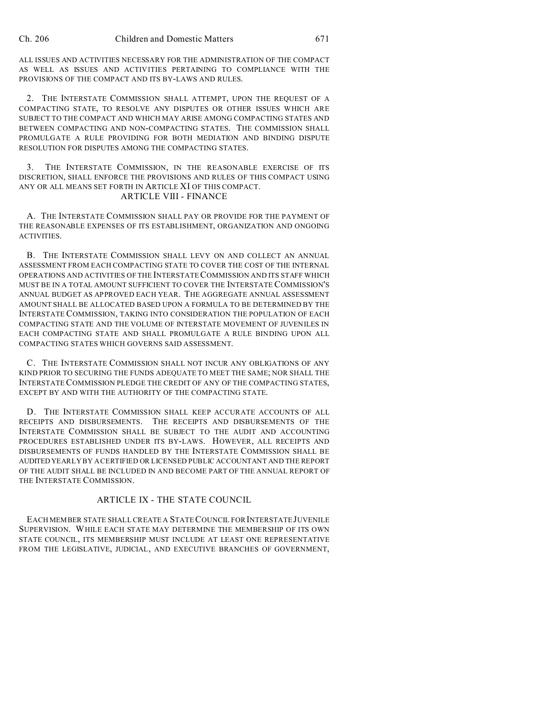ALL ISSUES AND ACTIVITIES NECESSARY FOR THE ADMINISTRATION OF THE COMPACT AS WELL AS ISSUES AND ACTIVITIES PERTAINING TO COMPLIANCE WITH THE PROVISIONS OF THE COMPACT AND ITS BY-LAWS AND RULES.

2. THE INTERSTATE COMMISSION SHALL ATTEMPT, UPON THE REQUEST OF A COMPACTING STATE, TO RESOLVE ANY DISPUTES OR OTHER ISSUES WHICH ARE SUBJECT TO THE COMPACT AND WHICH MAY ARISE AMONG COMPACTING STATES AND BETWEEN COMPACTING AND NON-COMPACTING STATES. THE COMMISSION SHALL PROMULGATE A RULE PROVIDING FOR BOTH MEDIATION AND BINDING DISPUTE RESOLUTION FOR DISPUTES AMONG THE COMPACTING STATES.

3. THE INTERSTATE COMMISSION, IN THE REASONABLE EXERCISE OF ITS DISCRETION, SHALL ENFORCE THE PROVISIONS AND RULES OF THIS COMPACT USING ANY OR ALL MEANS SET FORTH IN ARTICLE XI OF THIS COMPACT. ARTICLE VIII - FINANCE

A. THE INTERSTATE COMMISSION SHALL PAY OR PROVIDE FOR THE PAYMENT OF THE REASONABLE EXPENSES OF ITS ESTABLISHMENT, ORGANIZATION AND ONGOING ACTIVITIES.

B. THE INTERSTATE COMMISSION SHALL LEVY ON AND COLLECT AN ANNUAL ASSESSMENT FROM EACH COMPACTING STATE TO COVER THE COST OF THE INTERNAL OPERATIONS AND ACTIVITIES OF THE INTERSTATE COMMISSION AND ITS STAFF WHICH MUST BE IN A TOTAL AMOUNT SUFFICIENT TO COVER THE INTERSTATE COMMISSION'S ANNUAL BUDGET AS APPROVED EACH YEAR. THE AGGREGATE ANNUAL ASSESSMENT AMOUNT SHALL BE ALLOCATED BASED UPON A FORMULA TO BE DETERMINED BY THE INTERSTATE COMMISSION, TAKING INTO CONSIDERATION THE POPULATION OF EACH COMPACTING STATE AND THE VOLUME OF INTERSTATE MOVEMENT OF JUVENILES IN EACH COMPACTING STATE AND SHALL PROMULGATE A RULE BINDING UPON ALL COMPACTING STATES WHICH GOVERNS SAID ASSESSMENT.

C. THE INTERSTATE COMMISSION SHALL NOT INCUR ANY OBLIGATIONS OF ANY KIND PRIOR TO SECURING THE FUNDS ADEQUATE TO MEET THE SAME; NOR SHALL THE INTERSTATECOMMISSION PLEDGE THE CREDIT OF ANY OF THE COMPACTING STATES, EXCEPT BY AND WITH THE AUTHORITY OF THE COMPACTING STATE.

D. THE INTERSTATE COMMISSION SHALL KEEP ACCURATE ACCOUNTS OF ALL RECEIPTS AND DISBURSEMENTS. THE RECEIPTS AND DISBURSEMENTS OF THE INTERSTATE COMMISSION SHALL BE SUBJECT TO THE AUDIT AND ACCOUNTING PROCEDURES ESTABLISHED UNDER ITS BY-LAWS. HOWEVER, ALL RECEIPTS AND DISBURSEMENTS OF FUNDS HANDLED BY THE INTERSTATE COMMISSION SHALL BE AUDITED YEARLY BY A CERTIFIED OR LICENSED PUBLIC ACCOUNTANT AND THE REPORT OF THE AUDIT SHALL BE INCLUDED IN AND BECOME PART OF THE ANNUAL REPORT OF THE INTERSTATE COMMISSION.

#### ARTICLE IX - THE STATE COUNCIL

EACH MEMBER STATE SHALL CREATE A STATE COUNCIL FORINTERSTATE JUVENILE SUPERVISION. WHILE EACH STATE MAY DETERMINE THE MEMBERSHIP OF ITS OWN STATE COUNCIL, ITS MEMBERSHIP MUST INCLUDE AT LEAST ONE REPRESENTATIVE FROM THE LEGISLATIVE, JUDICIAL, AND EXECUTIVE BRANCHES OF GOVERNMENT,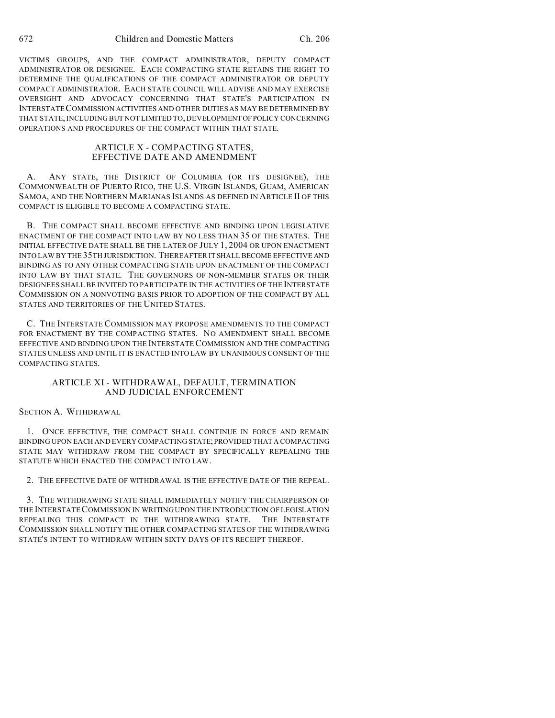VICTIMS GROUPS, AND THE COMPACT ADMINISTRATOR, DEPUTY COMPACT ADMINISTRATOR OR DESIGNEE. EACH COMPACTING STATE RETAINS THE RIGHT TO DETERMINE THE QUALIFICATIONS OF THE COMPACT ADMINISTRATOR OR DEPUTY COMPACT ADMINISTRATOR. EACH STATE COUNCIL WILL ADVISE AND MAY EXERCISE OVERSIGHT AND ADVOCACY CONCERNING THAT STATE'S PARTICIPATION IN INTERSTATECOMMISSION ACTIVITIES AND OTHER DUTIES AS MAY BE DETERMINED BY THAT STATE, INCLUDING BUT NOT LIMITED TO, DEVELOPMENTOFPOLICY CONCERNING OPERATIONS AND PROCEDURES OF THE COMPACT WITHIN THAT STATE.

#### ARTICLE X - COMPACTING STATES, EFFECTIVE DATE AND AMENDMENT

A. ANY STATE, THE DISTRICT OF COLUMBIA (OR ITS DESIGNEE), THE COMMONWEALTH OF PUERTO RICO, THE U.S. VIRGIN ISLANDS, GUAM, AMERICAN SAMOA, AND THE NORTHERN MARIANAS ISLANDS AS DEFINED IN ARTICLE II OF THIS COMPACT IS ELIGIBLE TO BECOME A COMPACTING STATE.

B. THE COMPACT SHALL BECOME EFFECTIVE AND BINDING UPON LEGISLATIVE ENACTMENT OF THE COMPACT INTO LAW BY NO LESS THAN 35 OF THE STATES. THE INITIAL EFFECTIVE DATE SHALL BE THE LATER OF JULY 1, 2004 OR UPON ENACTMENT INTO LAW BY THE 35TH JURISDICTION. THEREAFTER IT SHALL BECOME EFFECTIVE AND BINDING AS TO ANY OTHER COMPACTING STATE UPON ENACTMENT OF THE COMPACT INTO LAW BY THAT STATE. THE GOVERNORS OF NON-MEMBER STATES OR THEIR DESIGNEES SHALL BE INVITED TO PARTICIPATE IN THE ACTIVITIES OF THE INTERSTATE COMMISSION ON A NONVOTING BASIS PRIOR TO ADOPTION OF THE COMPACT BY ALL STATES AND TERRITORIES OF THE UNITED STATES.

C. THE INTERSTATE COMMISSION MAY PROPOSE AMENDMENTS TO THE COMPACT FOR ENACTMENT BY THE COMPACTING STATES. NO AMENDMENT SHALL BECOME EFFECTIVE AND BINDING UPON THE INTERSTATECOMMISSION AND THE COMPACTING STATES UNLESS AND UNTIL IT IS ENACTED INTO LAW BY UNANIMOUS CONSENT OF THE COMPACTING STATES.

#### ARTICLE XI - WITHDRAWAL, DEFAULT, TERMINATION AND JUDICIAL ENFORCEMENT

#### SECTION A. WITHDRAWAL

1. ONCE EFFECTIVE, THE COMPACT SHALL CONTINUE IN FORCE AND REMAIN BINDING UPON EACH AND EVERY COMPACTING STATE;PROVIDED THAT A COMPACTING STATE MAY WITHDRAW FROM THE COMPACT BY SPECIFICALLY REPEALING THE STATUTE WHICH ENACTED THE COMPACT INTO LAW.

2. THE EFFECTIVE DATE OF WITHDRAWAL IS THE EFFECTIVE DATE OF THE REPEAL.

3. THE WITHDRAWING STATE SHALL IMMEDIATELY NOTIFY THE CHAIRPERSON OF THE INTERSTATE COMMISSION IN WRITING UPON THE INTRODUCTION OF LEGISLATION REPEALING THIS COMPACT IN THE WITHDRAWING STATE. THE INTERSTATE COMMISSION SHALL NOTIFY THE OTHER COMPACTING STATES OF THE WITHDRAWING STATE'S INTENT TO WITHDRAW WITHIN SIXTY DAYS OF ITS RECEIPT THEREOF.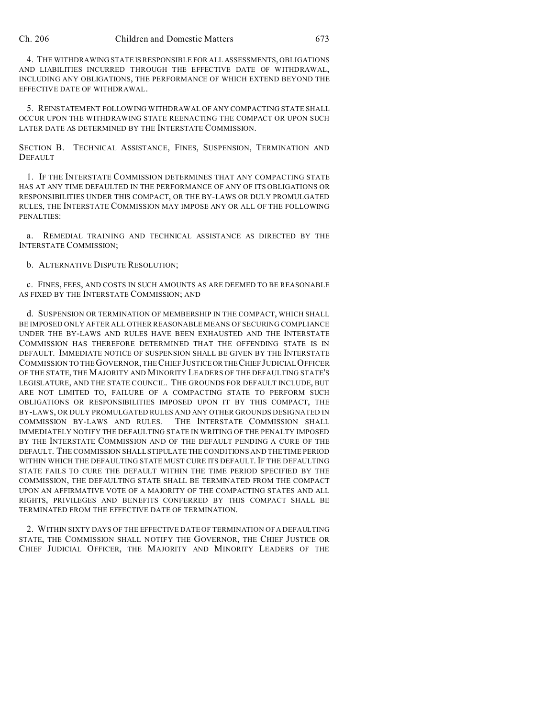4. THE WITHDRAWING STATE IS RESPONSIBLE FOR ALL ASSESSMENTS, OBLIGATIONS AND LIABILITIES INCURRED THROUGH THE EFFECTIVE DATE OF WITHDRAWAL, INCLUDING ANY OBLIGATIONS, THE PERFORMANCE OF WHICH EXTEND BEYOND THE EFFECTIVE DATE OF WITHDRAWAL.

5. REINSTATEMENT FOLLOWING WITHDRAWAL OF ANY COMPACTING STATE SHALL OCCUR UPON THE WITHDRAWING STATE REENACTING THE COMPACT OR UPON SUCH LATER DATE AS DETERMINED BY THE INTERSTATE COMMISSION.

SECTION B. TECHNICAL ASSISTANCE, FINES, SUSPENSION, TERMINATION AND DEFAULT

1. IF THE INTERSTATE COMMISSION DETERMINES THAT ANY COMPACTING STATE HAS AT ANY TIME DEFAULTED IN THE PERFORMANCE OF ANY OF ITS OBLIGATIONS OR RESPONSIBILITIES UNDER THIS COMPACT, OR THE BY-LAWS OR DULY PROMULGATED RULES, THE INTERSTATE COMMISSION MAY IMPOSE ANY OR ALL OF THE FOLLOWING PENALTIES:

a. REMEDIAL TRAINING AND TECHNICAL ASSISTANCE AS DIRECTED BY THE INTERSTATE COMMISSION;

b. ALTERNATIVE DISPUTE RESOLUTION;

c. FINES, FEES, AND COSTS IN SUCH AMOUNTS AS ARE DEEMED TO BE REASONABLE AS FIXED BY THE INTERSTATE COMMISSION; AND

d. SUSPENSION OR TERMINATION OF MEMBERSHIP IN THE COMPACT, WHICH SHALL BE IMPOSED ONLY AFTER ALL OTHER REASONABLE MEANS OF SECURING COMPLIANCE UNDER THE BY-LAWS AND RULES HAVE BEEN EXHAUSTED AND THE INTERSTATE COMMISSION HAS THEREFORE DETERMINED THAT THE OFFENDING STATE IS IN DEFAULT. IMMEDIATE NOTICE OF SUSPENSION SHALL BE GIVEN BY THE INTERSTATE COMMISSION TO THE GOVERNOR, THE CHIEF JUSTICEORTHECHIEF JUDICIAL OFFICER OF THE STATE, THE MAJORITY AND MINORITY LEADERS OF THE DEFAULTING STATE'S LEGISLATURE, AND THE STATE COUNCIL. THE GROUNDS FOR DEFAULT INCLUDE, BUT ARE NOT LIMITED TO, FAILURE OF A COMPACTING STATE TO PERFORM SUCH OBLIGATIONS OR RESPONSIBILITIES IMPOSED UPON IT BY THIS COMPACT, THE BY-LAWS, OR DULY PROMULGATED RULES AND ANY OTHER GROUNDS DESIGNATED IN COMMISSION BY-LAWS AND RULES. THE INTERSTATE COMMISSION SHALL IMMEDIATELY NOTIFY THE DEFAULTING STATE IN WRITING OF THE PENALTY IMPOSED BY THE INTERSTATE COMMISSION AND OF THE DEFAULT PENDING A CURE OF THE DEFAULT. THE COMMISSION SHALL STIPULATE THE CONDITIONS AND THE TIME PERIOD WITHIN WHICH THE DEFAULTING STATE MUST CURE ITS DEFAULT. IF THE DEFAULTING STATE FAILS TO CURE THE DEFAULT WITHIN THE TIME PERIOD SPECIFIED BY THE COMMISSION, THE DEFAULTING STATE SHALL BE TERMINATED FROM THE COMPACT UPON AN AFFIRMATIVE VOTE OF A MAJORITY OF THE COMPACTING STATES AND ALL RIGHTS, PRIVILEGES AND BENEFITS CONFERRED BY THIS COMPACT SHALL BE TERMINATED FROM THE EFFECTIVE DATE OF TERMINATION.

2. WITHIN SIXTY DAYS OF THE EFFECTIVE DATE OF TERMINATION OF A DEFAULTING STATE, THE COMMISSION SHALL NOTIFY THE GOVERNOR, THE CHIEF JUSTICE OR CHIEF JUDICIAL OFFICER, THE MAJORITY AND MINORITY LEADERS OF THE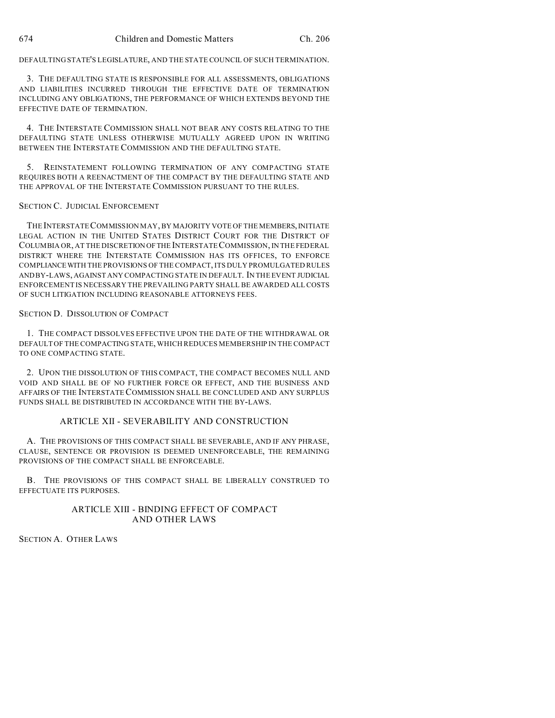DEFAULTING STATE'S LEGISLATURE, AND THE STATE COUNCIL OF SUCH TERMINATION.

3. THE DEFAULTING STATE IS RESPONSIBLE FOR ALL ASSESSMENTS, OBLIGATIONS AND LIABILITIES INCURRED THROUGH THE EFFECTIVE DATE OF TERMINATION INCLUDING ANY OBLIGATIONS, THE PERFORMANCE OF WHICH EXTENDS BEYOND THE EFFECTIVE DATE OF TERMINATION.

4. THE INTERSTATE COMMISSION SHALL NOT BEAR ANY COSTS RELATING TO THE DEFAULTING STATE UNLESS OTHERWISE MUTUALLY AGREED UPON IN WRITING BETWEEN THE INTERSTATE COMMISSION AND THE DEFAULTING STATE.

5. REINSTATEMENT FOLLOWING TERMINATION OF ANY COMPACTING STATE REQUIRES BOTH A REENACTMENT OF THE COMPACT BY THE DEFAULTING STATE AND THE APPROVAL OF THE INTERSTATE COMMISSION PURSUANT TO THE RULES.

## SECTION C. JUDICIAL ENFORCEMENT

THE INTERSTATE COMMISSION MAY, BY MAJORITY VOTE OF THE MEMBERS, INITIATE LEGAL ACTION IN THE UNITED STATES DISTRICT COURT FOR THE DISTRICT OF COLUMBIA OR, AT THE DISCRETION OFTHE INTERSTATE COMMISSION, IN THE FEDERAL DISTRICT WHERE THE INTERSTATE COMMISSION HAS ITS OFFICES, TO ENFORCE COMPLIANCEWITH THE PROVISIONS OF THE COMPACT, ITS DULY PROMULGATED RULES AND BY-LAWS, AGAINST ANY COMPACTING STATE IN DEFAULT. IN THE EVENT JUDICIAL ENFORCEMENT IS NECESSARY THE PREVAILING PARTY SHALL BE AWARDED ALL COSTS OF SUCH LITIGATION INCLUDING REASONABLE ATTORNEYS FEES.

# SECTION D. DISSOLUTION OF COMPACT

1. THE COMPACT DISSOLVES EFFECTIVE UPON THE DATE OF THE WITHDRAWAL OR DEFAULT OF THE COMPACTING STATE, WHICH REDUCES MEMBERSHIP IN THE COMPACT TO ONE COMPACTING STATE.

2. UPON THE DISSOLUTION OF THIS COMPACT, THE COMPACT BECOMES NULL AND VOID AND SHALL BE OF NO FURTHER FORCE OR EFFECT, AND THE BUSINESS AND AFFAIRS OF THE INTERSTATECOMMISSION SHALL BE CONCLUDED AND ANY SURPLUS FUNDS SHALL BE DISTRIBUTED IN ACCORDANCE WITH THE BY-LAWS.

# ARTICLE XII - SEVERABILITY AND CONSTRUCTION

A. THE PROVISIONS OF THIS COMPACT SHALL BE SEVERABLE, AND IF ANY PHRASE, CLAUSE, SENTENCE OR PROVISION IS DEEMED UNENFORCEABLE, THE REMAINING PROVISIONS OF THE COMPACT SHALL BE ENFORCEABLE.

B. THE PROVISIONS OF THIS COMPACT SHALL BE LIBERALLY CONSTRUED TO EFFECTUATE ITS PURPOSES.

### ARTICLE XIII - BINDING EFFECT OF COMPACT AND OTHER LAWS

SECTION A. OTHER LAWS